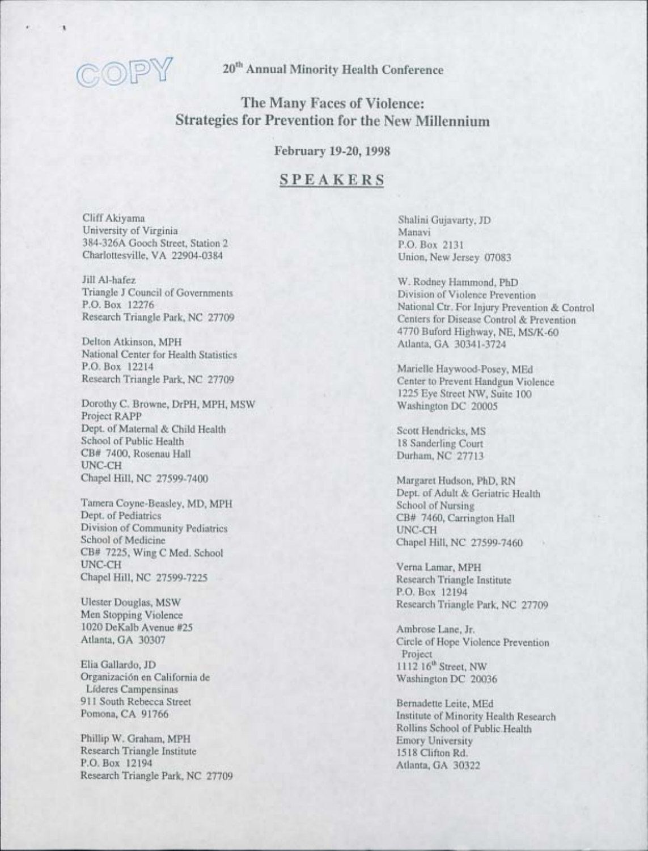

**20th Annual Minority Health Conference** 

# **The Many Faces of Violence: Strategies for Prevention for the New Millennium**

**February 19-20, 1998** 

## **SPEAKERS**

Cliff Akiyama University of Virginia 384-326A Gooch Street, Station 2 Charlottesville, VA 22904-0384

Jill Al-hafez Triangle J Council of Governments P.O. Box 12276 Research Triangle Park, NC 27709

Delton Atkinson, MPH National Center for Health Statistics P.O. Box 12214 Research Triangle Park, NC 27709

Dorothy C. Browne, DrPH, MPH, MSW Project RAPP Dept. of Maternal & Child Health School of Public Health CB# 7400, Rosenau Hall UNC-CH Chapel Hill, NC 27599-7400

Tamera Coyne-Beasley, MD, MPH Dept. of Pediatrics Division of Community Pediatrics School of Medicine CB# 7225, Wing C Med. School UNC-CH Chapel Hill, NC 27599-7225

Ulester Douglas, MSW Men Stopping Violence 1020 DeKalb Avenue #25 Atlanta, GA 30307

Elia Gallardo, JD Organizaci6n en California de Lfderes Campensinas 911 South Rebecca Street Pomona, CA 91766

Phillip W. Graham, MPH Research Triangle Institute P.O. Box 12194 Research Triangle Park, NC 27709

L-\_\_\_\_\_\_\_\_\_\_\_\_\_\_\_\_\_\_\_\_\_\_\_\_\_\_\_\_ \_ \_\_\_\_\_\_\_\_\_ ~ \_\_\_ \_

Shalini Gujavarty, JD Manavi P.O. Box 2131 Union, New Jersey 07083

W. Rodney Hammond, PhD Division of Violence Prevention National Ctr. For Injury Prevention & Control Centers for Disease Control & Prevention 4770 Buford Highway, NE, *MS/K-60*  Atlanta, GA 30341-3724

Marielle Haywood-Posey, MEd Center to Prevent Handgun Violence 1225 Eye Street NW, Suite 100 Washington DC 20005

Scott Hendricks, MS 18 Sanderling Court Durham, NC 27713

Margaret Hudson, PhD, RN Dept. of Adult & Geriatric Health School of Nursing CB# 7460, Carrington Hall UNC-CH Chapel Hill, NC 27599-7460

Verna Lamar, MPH Research Triangle Institute P.O. Box 12194 Research Triangle Park, NC 27709

Ambrose Lane, Jr. Circle of Hope Violence Prevention Project  $1112~16<sup>th</sup>$  Street, NW Washington DC 20036

Bernadette Leite, MEd Institute of Minority Health Research Rollins School of Public.Health Emory University 1518 Clifton Rd. Atlanta, GA 30322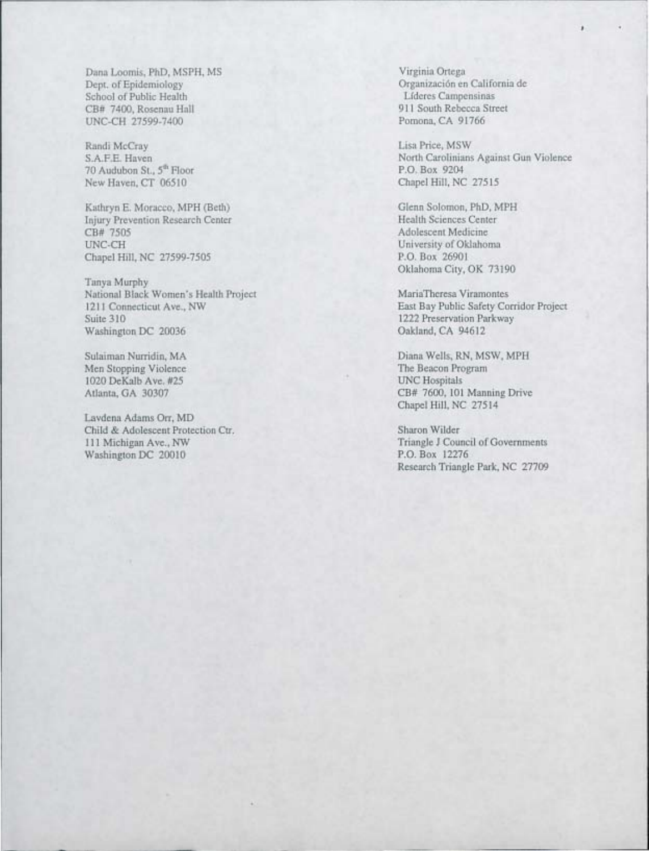Dana Loomis, PhD, MSPH, MS Dept. of Epidemiology School of Public Health CB# 7400, Rosenau Hall UNC-CH 27599-7400

Randi McCray S.A.F.E. Haven 70 Audubon St., 5<sup>th</sup> Floor New Haven, CT 06510

Kathryn E. Moracco, MPH (Beth) Injury Prevention Research Center CB# 7505 UNC-CH Chapel Hill, NC 27599-7505

Tanya Murphy National Black Women's Health Project 1211 Connecticut Ave., NW Suite 310 Washington DC 20036

Sulaiman Nurridin, MA Men Stopping Violence 1020 DeKalb Ave. #25 Atlanta, GA 30307

Lavdena Adams Orr, MD Child & Adolescent Protection Ctr. 111 Michigan Ave., NW Washington DC 20010

Virginia Ortega Organizaci6n en California de Lfderes Campensinas 911 South Rebecca Street Pomona, CA 91766

Lisa Price, MSW North Carolinians Against Gun Violence P.O. Box 9204 Chapel Hill, NC 27515

Glenn Solomon, PhD, MPH Health Sciences Center Adolescent Medicine University of Oklahoma P.O. Box 26901 Oklahoma City, OK 73190

MariaTheresa Viramontes East Bay Public Safety Corridor Project 1222 Preservation Parkway Oakland, CA 94612

Diana Wells, RN, MSW, MPH The Beacon Program UNC Hospitals CB# 7600, 101 Manning Drive Chapel Hill, NC 27514

Sharon Wilder Triangle J Council of Governments P.O. Box 12276 Research Triangle Park, NC 27709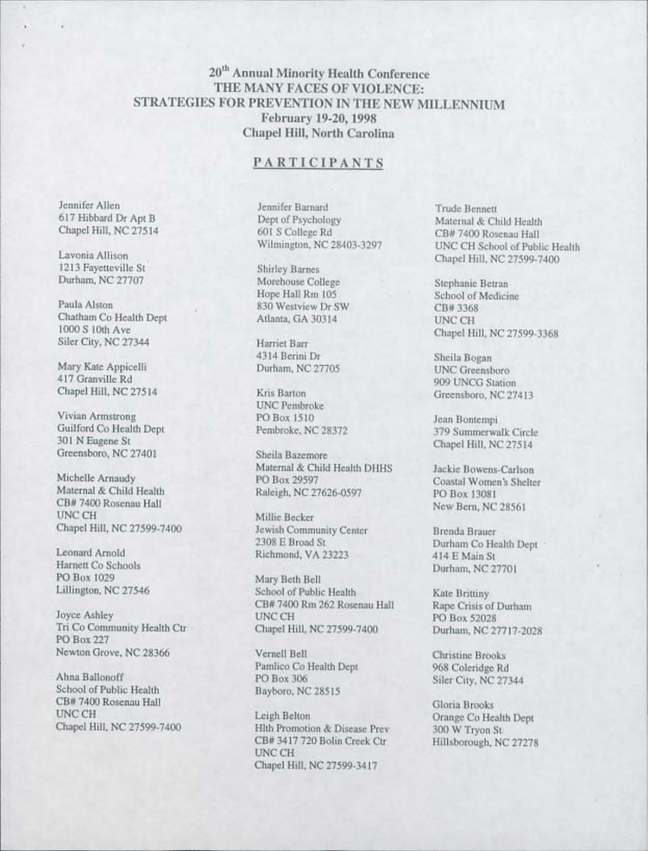## **20th Annual Minority Health Conference THE MANY FACES OF VIOLENCE: STRATEGIES FOR PREVENTION IN THE NEW MILLENNIUM February 19-20, 1998 Chapel Hill, North Carolina**

### **PARTICIPANTS**

Jennifer Allen 617 Hibbard Dr Apt B Chapel Hill, NC 27514

Lavonia Allison 1213 Fayetteville St Durham, NC 27707

Paula Alston Chatham Co Health Dept 1000 S 10th Ave Siler City, NC 27344

Mary Kate Appicelli 417 Granville Rd Chapel Hill, NC 27514

Vivian Armstrong Guilford Co Health Dept 301 N Eugene St Greensboro, NC 27401

Michelle Arnaudy Maternal & Child Health CB# 7400 Rosenau Hall **UNC CH** Chapel Hill, NC 27599-7400

Leonard Arnold Harnett Co Schools PO Box 1029 Lillington, NC 27546

Joyce Ashley Tri Co Community Health Ctr PO Box 227 Newton Grove, NC 28366

Ahna Ballonoff School of Public Health CB# 7400 Rosenau Hall UNC CH Chapel Hill, NC 27599-7400 Jennifer Barnard Dept of Psychology 601 S College Rd Wilmington, NC 28403-3297

Shirley Barnes Morehouse College Hope Hall Rm 105 830 Westview Dr SW Atlanta, GA 30314

Harriet Barr 4314 Berini Dr Durham, NC 27705

Kris Barton UNC Pembroke POBox 1510 Pembroke, NC 28372

Sheila Bazemore Maternal & Child Health DHHS PO Box 29597 Raleigh, NC 27626-0597

Millie Becker Jewish Community Center 2308 E Broad St Richmond, VA 23223

Mary Beth Bell School of Public Health CB# 7400 Rm 262 Rosenau Hall UNC CH Chapel Hill, NC 27599-7400

VernelI Bell Pamlico Co Health Dept PO Box 306 Bayboro, NC 28515

Leigh Belton Hlth Promotion & Disease Prev CB# 3417 720 Bolin Creek Ctr UNC CH Chapel Hill, NC 27599-3417

Trude Bennett Maternal & Child Health CB# 7400 Rosenau Hall UNC CH School of Public Health Chapel Hill, NC 27599-7400

Stephanie Betran School of Medicine CB# 3368 UNC CH Chapel Hill, NC 27599-3368

Sheila Bogan UNC Greensboro 909 UNCG Station Greensboro, NC 27413

Jean Bontempi 379 Summerwalk Cirel Chapel Hill, NC 27514

Jackie Bowens-Carlson Coastal Women's Shelter PO Box 13081 New Bern, NC 28561

Brenda Brauer Durham Co Health Dept 414EMainSt Durham, NC 27701

Kate Brittiny Rape Crisis of Durham PO Box 52028 Durham, NC 27717-202

Christine Brooks 968 Coleridge Rd Siler City, NC 27344

Gloria Brooks Orange Co Health Dept 300 W Tryon St Hillsborough, NC 27278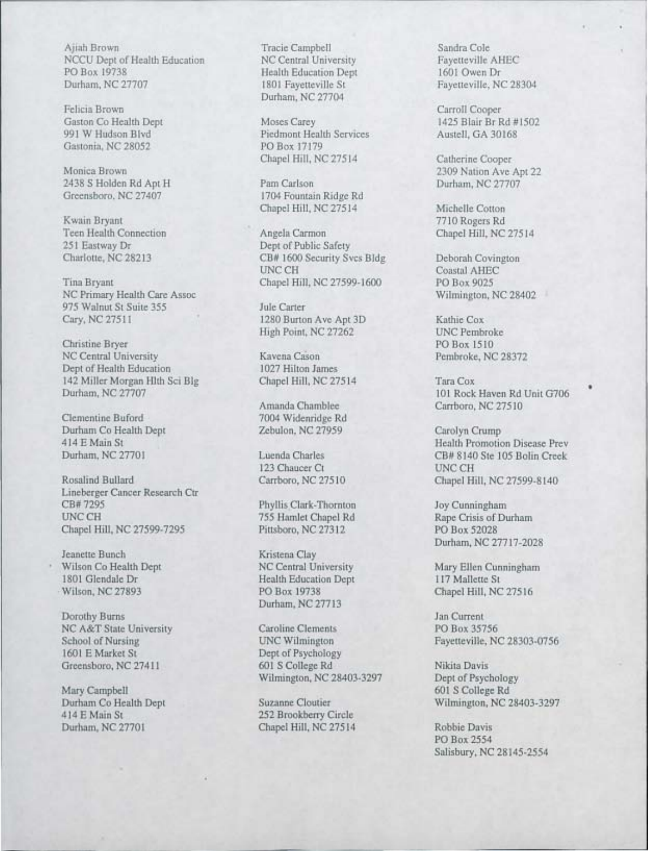Ajiah Brown Tracie Campbell Sandra Cole<br>
NCCU Dept of Health Education NC Central University Fayetteville AHEC NCCU Dept of Health Education NC Central University Fayetteville AH<br>PO Box 19738 Health Education Dept 1601 Owen Dr PO Box 19738 Health Education Dept Durham, NC 27707 1801 Favetteville St

Felicia Brown Carroll Cooper Carroll Cooper Carroll Cooper Carroll Cooper Carroll Cooper Carroll Cooper Carroll Cooper (3) Gastonia, NC 28052

2438 S Holden Rd Apt H<br>Greensboro, NC 27407

Kwain Bryant 7710 Rogers Rd<br>
Teen Health Connection **1996 Angela Carmon** 7710 Rogers Rd<br>
2011 - Angela Carmon *Chapel Hill*, NC 251 Eastway Dr Dept of Public Safety<br>
Charlotte, NC 28213 CB# 1600 Security Sv

Tina Bryant Chapel Hill, NC 27599-1600 PO Box 9025<br>NC Primary Health Care Assoc Wilmington, NC 28402 NC Primary Health Care Assoc<br>975 Walnut St Suite 355 Male Carter 975 Walnut St Suite 355<br>Cary, NC 27511

Christine Bryer PO Box 1510 Dept of Health Education 1027 Hilton James<br>142 Miller Morgan Hlth Sci Blg Chapel Hill, NC 27514 142 Miller Morgan Hlth Sci Blg Chapel Hill, NC 27514 Tara Cox<br>
Durham, NC 27707 101 Rock

Clementine Buford 7004 Widenridge Rd<br>
2004 Widenridge Rd<br>
2012 Zebulon, NC 27959 Durham Co Health Dept Zebulon, NC 27959 Carolyn Crump

Lineberger Cancer Research Ctr<br>CB# 7295 CB# 7295 Phyllis Clark-Thornton Joy Cunningham<br>
1990 DINC CH 755 Hamlet Chapel Rd Rape Crisis of Du Chapel Hill, NC 27599-7295

Jeanette Bunch Kristena Clay Wilson Co Health Dept NC Central University Mary Ellen Cunningham<br>
1801 Glendale Dr Health Education Dept 117 Mallette St . Wilson, NC 27893 PO Box 19738 Chapel Hill, NC 27516

Dorothy Burns Jan Current

Mary Campbell 601 S College Rd<br>
Durham Co Health Dept Suzanne Cloutier Wilmington, NC 2 414 E Main St 252 Brookberry Circle Durham, NC 27701 Chapel Hill, NC 27514 Robbie Davis

Durham, NC 27704

Piedmont Health Services<br>PO Box 17179 Chapel Hill, NC 27514 Catherine Cooper

1704 Fountain Ridge Rd Chapel Hill, NC 27514 Michelle Cotton

Teen Health Connection Angela Carmon Angela Carmon Chapel Hill, NC 27514<br>251 Eastway Dr Dept of Public Safety CB# 1600 Security Svcs Bldg Deborah Covington<br>
UNC CH<br>
Coastal AHEC

> 1280 Burton Ave Apt 3D Kathie Cox High Point, NC 27262 UNC Pembroke

Kavena Cason Pembroke, NC 28372<br>1027 Hilton James

123 Chaucer Ct UNC CH

Health Education Dept Durham, NC 27713

NC A&T State University Caroline Clements PO Box 35756<br>
School of Nursing UNC Wilmington Fayetteville, N School of Nursing UNC Wilmington Fayetteville, NC 28303-0756<br>
1601 E Market St Dept of Psychology Dept of Psychology<br>601 S College Rd Greensboro, NC 27411 601 S College Rd Nikita Davis<br>Wilmington, NC 28403-3297 Dept of Psychology Wilmington, NC 28403-3297

Fayetteville, NC 28304

Gaston Co Health Dept Moses Carey Moses Carey 1425 Blair Br Rd #1502<br>
991 W Hudson Blvd Piedmont Health Services Austell, GA 30168

Monica Brown 2309 Nation Ave Apt 22<br>
2438 S Holden Rd Apt H Pam Carlson Durham, NC 27707

Coastal AHEC<br>PO Box 9025

101 Rock Haven Rd Unit G706 Amanda Chamblee Carrboro, NC 27510

414 E Main St<br>
14 E Main St<br>
14 E Main St<br>
14 E Main St<br>
27701 Luenda Charles<br>
28# 8140 Ste 105 Bolin Creek CB# 8140 Ste 105 Bolin Creek Rosalind Bullard Carrboro, NC 27510 Chapel Hill, NC 27599-8140

> The Pittsboro, NC 27312<br>
> Pittsboro, NC 27312<br>
> PO Box 52028 Durham, NC 27717 -2028

Durham Co Health Dept Suzanne Cloutier Wilmington, NC 28403-3297

PO Box 2554 Salisbury, NC 28145-2554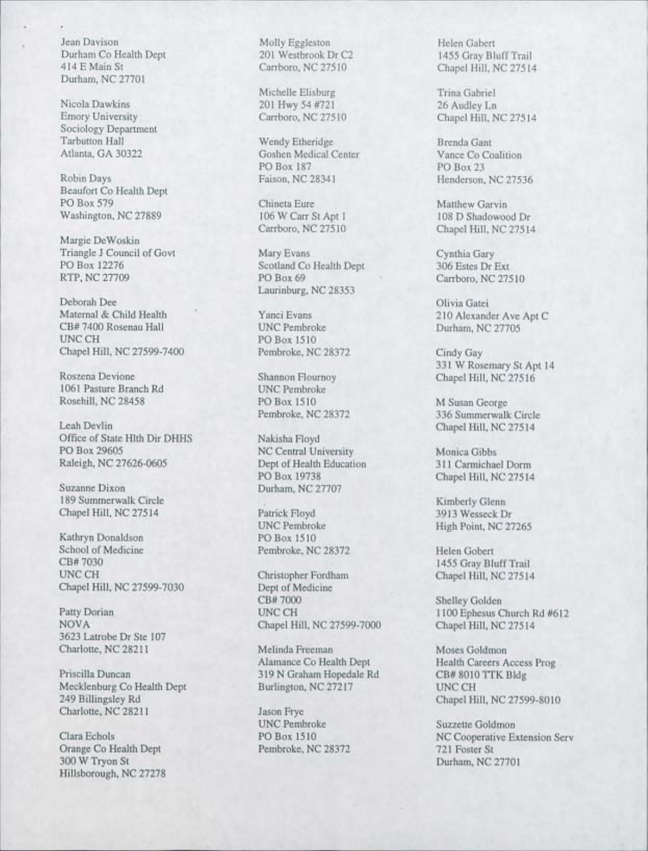Jean Davison Durham Co Health Dept 414 E Main St Durham, NC 27701

Nicola Dawkins Emory University Sociology Department Tarbutton Hall Atlanta, GA 30322

Robin Days Beaufort Co Health Dept PO Box 579 Washington, NC 27889

Margie De Woskin Triangle J Council of Govt PO Box 12276 RTP, NC 27709

Deborah Dee Maternal & Child Health CB# 7400 Rosenau Hall UNC CH Chapel Hill, NC 27599-7400

Roszena Devione 1061 Pasture Branch Rd RosehiIl, NC 28458

Leah Devlin Office of State Hlth Dir DHHS PO Box 29605 Raleigh, NC 27626-0605

Suzanne Dixon 189 Summerwalk Circle Chapel Hill, NC 27514

Kathryn Donaldson School of Medicine CB# 7030 UNC CH Chapel Hill, NC 27599-7030

Patty Dorian NOVA 3623 Latrobe Dr Ste 107 Charlotte, NC 28211

Priscilla Duncan Mecklenburg Co Health Dept 249 Billingsley Rd Charlotte, NC 28211

Clara Echols Orange Co Health Dept 300 W Tryon St Hillsborough, NC 27278 Molly Eggleston 201 Westbrook Dr C2 Carrboro, NC 27510

Michelle Elisburg 201 Hwy 54 #721 Carrboro, NC 27510

Wendy Etheridge Goshen Medical Center PO Box 187 Faison, NC 28341

Chineta Eure 106 W Carr St Apt 1 Carrboro, NC 27510

Mary Evans Scotland Co Health Dept PO Box 69 Laurinburg, NC 28353

Yanci Evans UNC Pembroke PO Box 1510 Pembroke, NC 28372

Shannon Flournoy UNC Pembroke PO Box 1510 Pembroke, NC 28372

Nakisha Floyd NC Central University Dept of Health Education PO Box 19738 Durham, NC 27707

Patrick Floyd UNC Pembroke PO Box 1510 Pembroke, NC 28372

Christopher Fordham Dept of Medicine CB# 7000 UNC CH Chapel Hill, NC 27599-7000

Melinda Freeman Alamance Co Health Dept 319 N Graham Hopedale Rd Burlington, NC 27217

Jason Frye UNC Pembroke PO Box 1510 Pembroke, NC 28372 Helen Gabert 1455 Gray Bluff Trail Chapel Hill, NC 27514

Trina Gabriel 26 Audley Ln Chapel Hill, NC 27514

Brenda Gant Vance Co Coalition PO Box 23 Henderson, NC 27536

Matthew Garvin 108 D Shadowood Dr Chapel Hill, NC 27514

Cynthia Gary 306 Estes Dr Ext Carrboro, NC 27510

Olivia Gatei 210 Alexander Ave Apt C Durham, NC 27705

Cindy Gay 331 W Rosemary St Apt 14 Chapel Hill, NC 27516

M Susan George 336 Summerwalk Circle Chapel Hill, NC 27514

Monica Gibbs 311 Carmichael Dorm Chapel Hill, NC 275] 4

Kimberly Glenn 3913 Wesseck Dr High Point, NC 27265

Helen Gobert 1455 Gray Bluff Trail Chapel Hill, NC 27514

Shelley Golden 1100 Ephesus Church Rd #612 Chapel Hill, NC 27514

Moses Goldmon Health Careers Access Prog CB# 8010 TTK Bldg UNC CH Chapel Hill, NC 27599-8010

Suzzette Goldmon NC Cooperative Extension Serv 721 Foster St Durham, NC 27701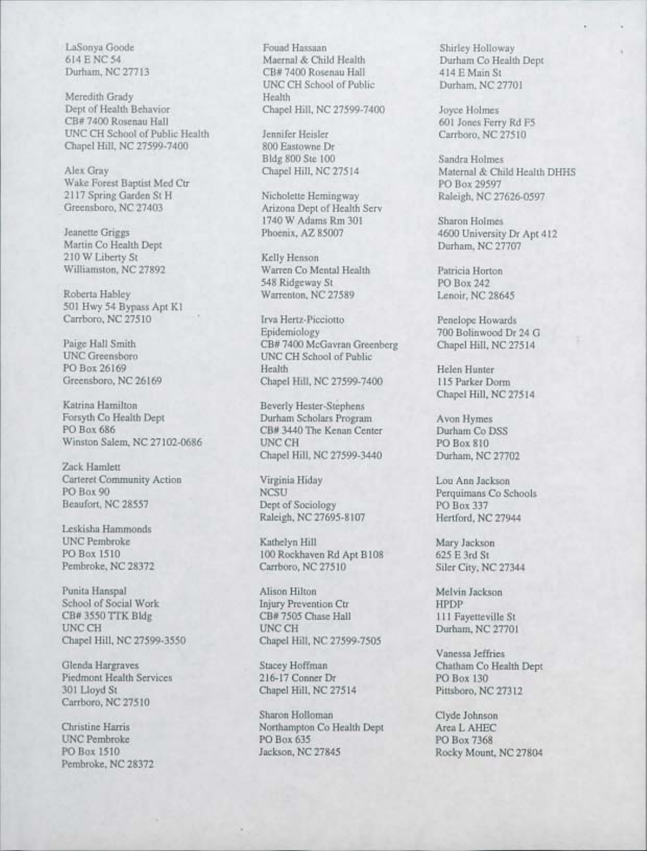Meredith Grady<br>Dept of Health Behavior Dept of Health Behavior Chapel Hill, NC 27599-7400 Joyce Holmes<br>CB# 7400 Rosenau Hall 601 Jones Ferr UNC CH School of Public Health Jennifer Heisler<br>Chapel Hill, NC 27599-7400 800 Eastowne Dr Chapel Hill, NC 27599-7400

Wake Forest Baptist Med Ctr<br>2117 Spring Garden St H Nicholette Hemingway 2117 Spring Garden St H Nicholette Hemingway Raleigh, NC 27626-0597<br>Greensboro, NC 27403 Arizona Dept of Health Serv

Martin Co Health Dept 210 W Liberty St Kelly Henson<br>Williamston, NC 27892 Warren Co Me

Roberta Habley Warrenton, NC 27589 501 Hwy 54 Bypass Apt K1

Katrina Hamilton Beverly Hester-Stephens<br>Forsyth Co Health Dept Durham Scholars Program Forsyth Co Health Dept Durham Scholars Program Avon Hymes<br>
PO Box 686 CB# 3440 The Kenan Center Durham Co DSS Winston Salem, NC 27102-0686

Zack Hamlett Carteret Community Action Virginia Hiday Lou Ann Jackson

Leskisha Hammonds

Punita Hanspal Alison Hilton Melvin Jackson School of Social Work Injury Prevention Ctr **IMPDP**<br>
CB# 3550 TTK Bldg CB# 7505 Chase Hall 111 Fa CB# 3550 TTK Bldg CB# 7505 Chase Hall 111 Fayetteville St UNC CH 27701 Chapel Hill, NC 27599-3550

Piedmont Health Services 216-17 Conner Dr PO Box 130<br>301 Lloyd St Chapel Hill, NC 27514 Pittsboro, NC Carrboro, NC 27510

Pembroke, NC 28372

LaSonya Goode Fouad Hassaan Shirley Holloway<br>14 E NC 54 Maernal & Child Health Durham Co Health 614 E NC 54 Maernal & Child Health Durham Co Health Dept<br>
Durham, NC 27713 CB# 7400 Rosenau Hall 414 E Main St Durham, NC 27713 CB# 7400 Rosenau Hall 414 E Main St UNC CH School of Public<br>Health

Bldg 800 Ste 100 Sandra Holmes<br>Chapel Hill, NC 27514 Maternal & Chi

Arizona Dept of Health Serv 1740 W Adams Rm 301 Sharon Holmes<br>Phoenix, AZ 85007 4600 University

Warren Co Mental Health Patricia Horton 548 Ridgeway St PO Box 242<br>Warrenton, NC 27589 Lenoir, NC 28645

Carrboro, NC 27510 Irva Hertz-Picciotto Penelope Howards<br>Epidemiology 700 Bolinwood Dr Paige Hall Smith CB# 7400 McGavran Greenberg Chapel Hill, NC 27514<br>UNC Greensboro UNC CH School of Public UNC Greensboro UNC CH School of Public<br>
PO Box 26169 Health PO Box 26169 Health Health Helen Hunter<br>Greensboro, NC 26169 Chapel Hill, NC 27599-7400 115 Parker Do Chapel Hill, NC 27599-7400 115 Parker Dorm

> CB# 3440 The Kenan Center Durham Co I<br>PO Box 810 Chapel Hill, NC 27599-3440 Durham, NC 27702

Beaufort, NC 28557 Dept of Sociology PO Box 337<br>Raleigh, NC 27695-8107 Hertford, NC 27944 Raleigh, NC 27695-8107

UNC Pembroke Kathelyn Hill Mary Jackson<br>PO Box 1510 100 Rockhaven Rd Apt B108 625 E 3rd St PO Box 1510 100 Rockhaven Rd Apt B 108<br>
Pembroke, NC 28372 Carrboro, NC 27510

UNC CH Durham, NC 27701<br>Chapel Hill, NC 27599-7505

Chapel Hill, NC 27514 Pittsboro, NC 27312

Sharon Holloman Clyde Johnson Christine Harris Northampton Co Health Dept Area L AHEC<br>
DNC Pembroke PO Box 635 PO Box 7368 UNC Pembroke PO Box 635 PO Box 7368<br>PO Box 1510 PO Box 7368 Jackson, NC 27845 Rocky Mount

Examples Ferry Rd F5<br>
27510 Carrboro, NC 27510

Alex Gray Chapel Hill, NC 27514 Maternal & Child Health DHHS<br>Wake Forest Baptist Med Ctr PO Box 29597

Jeanette Griggs Phoenix, AZ 85007 4600 University Dr Apt 412<br>Martin Co Health Dept Durham, NC 27707

700 Bolinwood Dr 24 G

Chapel Hill, NC 27514

Perquimans Co Schools<br>
Perquimans Co Schools<br>
PO Box 337

Siler City, NC 27344

Vanessa Jeffries Glenda Hargraves Stacey Hoffman Co Health Dept

Rocky Mount, NC 27804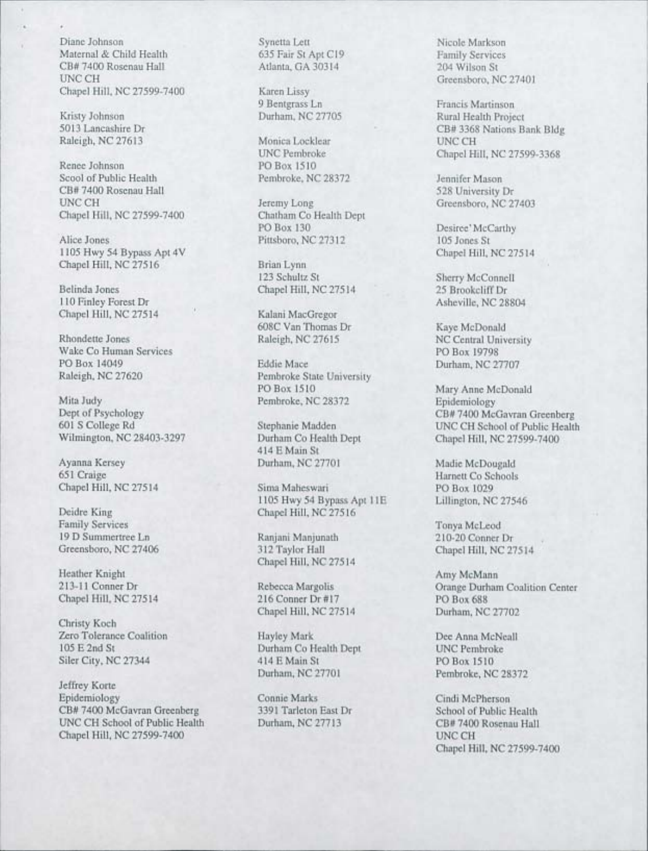Diane Johnson Maternal & Child Health CB# 7400 Rosenau Hall UNCCH Chapel Hill, NC 27599-7400

Kristy Johnson 5013 Lancashire Dr Raleigh, NC 27613

Renee Johnson Scool of Public Health CB# 7400 Rosenau Hall UNCCH Chapel Hill, NC 27599-7400

Alice Jones 1105 Hwy 54 Bypass Apt 4V Chapel Hill, NC 27516

Belinda Jones 110 Finley Forest Dr Chapel Hill, NC 27514

Rhondette Jones Wake Co Human Services PO Box 14049 Raleigh, NC 27620

Mita Judy Dept of Psychology 601 S College Rd Wilmington, NC 28403-3297

Ayanna Kersey 651 Craige Chapel Hill, NC 27514

Deidre King Family Services 19 D Summertree Ln Greensboro, NC 27406

Heather Knight 213-11 Conner Dr Chapel Hill, NC 27514

Christy Koch Zero Tolerance Coalition 105 E 2nd St Siler City, NC 27344

Jeffrey Korte Epidemiology CB# 7400 McGavran Greenberg UNC CH School of Public Health Chapel Hill, NC 27599-7400

Synetta Lett 635 Fair St Apt C19 Atlanta, GA 30314

Karen Lissy 9 Bentgrass Ln Durham, NC 27705

Monica Locklear UNC Pembroke PO Box 1510 Pembroke, NC 28372

Jeremy Long Chatham Co Health Dept PO Box 130 Pittsboro, NC 27312

Brian Lynn 123 Schultz St Chapel Hill, NC 27514

Kalani MacGregor 608C Van Thomas Dr Raleigh, NC 27615

Eddie Mace Pembroke State University PO Box 1510 Pembroke, NC 28372

Stephanie Madden Durham Co Health Dept 414 E Main St Durham, NC 27701

Sima Malieswari 1105 Hwy 54 Bypass Apt 11E Chapel Hill, NC 27516

Ranjani Manjunath 312 Taylor Hall Chapel Hill, NC 27514

Rebecca Margolis 216 Conner Dr #17 Chapel Hill, NC 27514

Hayley Mark Durham Co Health Dept 414 E Main St Durham, NC 27701

Connie Marks 3391 Tarleton East Dr Durham, NC 27713

Nicole Markson Family Services 204 Wilson St Greensboro, NC 27401

Francis Martinson Rural Health Project CB# 3368 Nations Bank Bldg UNCCH Chapel Hill, NC 27599-3368

Jennifer Mason 528 University Dr Greensboro, NC 27403

Desiree' McCarthy 105 Jones St Chapel Hill, NC 27514

Sherry McConnell 25 Brookcliff Dr Asheville, NC 28804

Kaye McDonald NC Central University PO Box 19798 Durham, NC 27707

Mary Anne McDonald Epidemiology CB# 7400 McGavran Greenberg UNC CH School of Public Health Chapel Hill, NC 27599-7400

Madie McDougald Harnett Co Schools PO Box 1029 Lillington, NC 27546

Tonya McLeod 210-20 Conner Dr Chapel Hill, NC 27514

Amy McMann Orange Durham Coalition Center PO Box 688 Durham, NC 27702

Dee Anna McNeall UNC Pembroke PO Box 1510 Pembroke, NC 28372

Cindi McPherson School of Public Health CB# 7400 Rosenau Hall UNC CH Chapel Hill, NC 27599-7400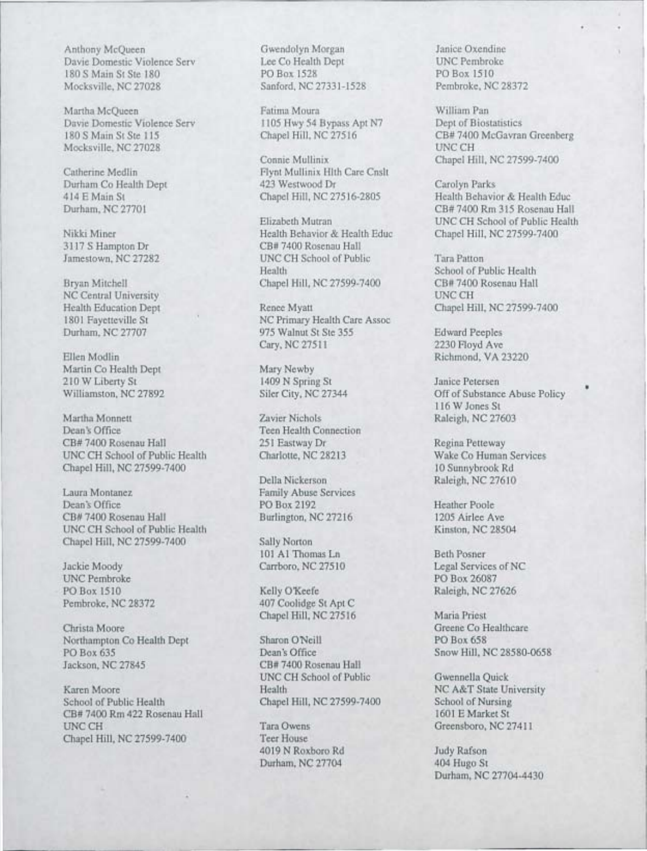Anthony McQueen Gwendolyn Morgan Janice Oxendine<br>
Davie Domestic Violence Serv Lee Co Health Dept UNC Pembroke Davie Domestic Violence Serv<br>
180 S Main St Ste 180<br>
PO Box 1528<br>
PO Box 1510<br>
PO Box 1510 180 S Main St Ste 180 PO Box 1528 PO Box 1510<br>
Mocksville, NC 27028 Sanford, NC 27331-1528 Pembroke, NC 28372 Mocksville, NC 27028

Martha McQueen Fatima Moura<br>
Davie Domestic Violence Serv 1105 Hwy 54 Bypass Apt N7 Dept of Biostatistics Mocksville, NC 27028

NC Central University UNCCH

Martin Co Health Dept Mary Newby 210 W Liberty St 1409 N Spring St Janice Petersen

Martha Monnett Zavier Nichols Raleigh, NC 27603 Dean's Office Teen Health Connection CB# 7400 Rosenau Hall 251 Eastway Dr Regina Petteway UNC CH School of Public Health Charlotte, NC 28213 Wake Co Human Services Chapel Hill, NC 27599-7400 10 Sunnybrook Rd

Laura Montanez Family Abuse Services<br>
Dean's Office PO Box 2192 Dean's Office PO Box 2192 Heather Poole<br>CB# 7400 Rosenau Hall Burlington, NC 27216 1205 Airlee Ay UNC CH School of Public Health Kinston, NC 28504 Chapel Hill, NC 27599-7400 Sally Norton

UNC Pembroke PO Box 26087

Christa Moore Greene Co Healthcare Greene Co Healthcare Greene Co Healthcare Greene Co Healthcare Sharon O'Neill PO Box 658 Northampton Co Health Dept PO Box 635 Dean's Office Snow Hill, NC 28580-0658 Jackson, NC 27845 CB# 7400 Rosenau Hall

Karen Moore Health NC A&T State University<br>School of Public Health Chapel Hill, NC 27599-7400 School of Nursing School of Public Health Chapel Hill, NC 27599-7400 CB# 7400 Rm 422 Rosenau Hall 1601 E Market St UNC CH Tara Owens Greensboro, NC 27411<br>
Chanel Hill, NC 27599-7400 Teer House Chapel Hill, NC 27599-7400

1105 Hwy 54 Bypass Apt N7<br>Chapel Hill, NC 27516

Catherine Medlin Flynt Mullinix Hlth Care Cnslt Durham Co Health Dept 423 Westwood Dr Carolyn Parks

Nikki Miner Health Behavior & Health Educ Chapel Hill, NC 27599-7400 3117 S Hampton Dr CB# 7400 Rosenau Hall Jamestown, NC 27282 UNC CH School of Public Tara Patton Health School of Public Health Bryan Mitchell Chapel Hill, NC 27599-7400 CB# 7400 Rosenau Hall

Health Education Dept Renee Myatt Chapel Hill, NC 27599-7400 1801 Fayetteville St NC Primary Health Care Assoc Durham, NC 27707 975 Walnut St Ste 355 Edward Peeples Cary, NC 27511 2230 Floyd Ave

Della Nickerson Raleigh, NC 27610 Burlington, NC 27216 1205 Airlee Ave

101 A1 Thomas Ln Beth Posner

PO Box 1510 Kelly O'Keefe Raleigh, NC 27626 Pembroke, NC 28372 407 Coolidge St Apt C Chapel Hill, NC 27516 Maria Priest

UNC CH School of Public Gwennella Quick

4019 N Roxboro Rd Judy Rafson Durham, NC 27704 404 Hugo St

180 S Main St Ste 115 Chapel Hill, NC 27516 CB# 7400 McGavran Greenberg<br>Mocksville, NC 27028 UNC CH Connie Mullinix Chapel Hill, NC 27599-7400

414 E Main St Chapel Hill, NC 27516-2805 Health Behavior & Health Educ<br>Durham, NC 27701 CB# 7400 Rm 315 Rosenau Hall CB# 7400 Rm 315 Rosenau Hall Elizabeth Mutran UNC CH School of Public Health<br>Health Rehavior & Health Educ Chanel Hill, NC 27599-7400

Ellen Modlin Richmond, VA 23220

• Williamston, NC 27892 Siler City, NC 27344 Off of Substance Abuse Policy 116 W Jones St

Jackie Moody Carrboro, NC 27510 Legal Services of NC

Durham, NC 27704-4430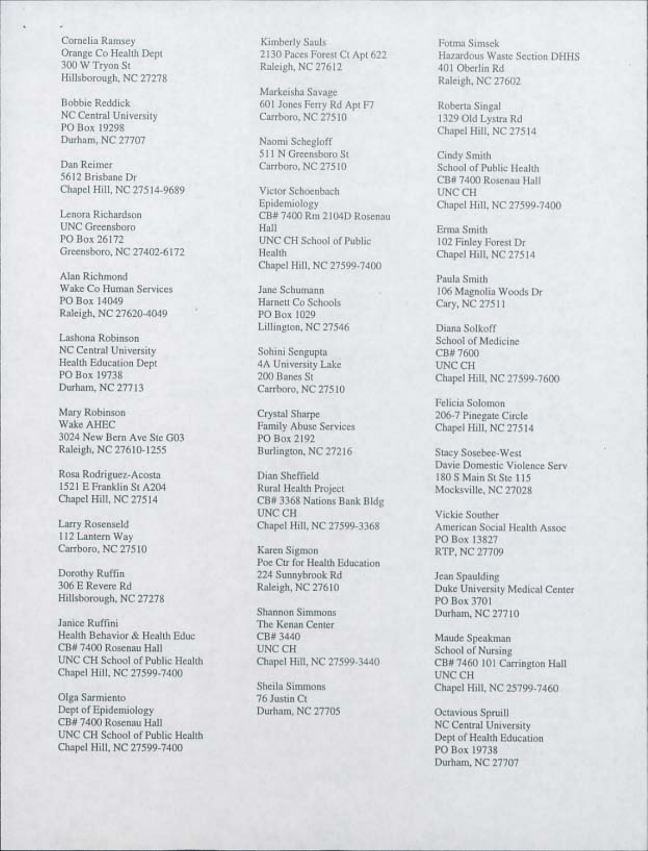Cornelia Ramsey Orange Co Health Dept 300 W Tryon St Hillsborough, NC 27278

Bobbie Reddick NC Central University PO Box 19298 Durham, NC 27707

Dan Reimer 5612 Brisbane Dr Chapel Hill, NC 27514-9689

Lenora Richardson UNC Greensboro PO Box 26172 Greensboro, NC 27402-6172

Alan Richmond Wake Co Human Services PO Box 14049 Raleigh, NC 27620-4049

Lashona Robinson NC Central University Health Education Dept PO Box 19738 Durham, NC 27713

Mary Robinson WakeAHEC 3024 New Bern Ave Ste G03 Raleigh, NC 27610-1255

Rosa Rodriguez-Acosta 1521 E Franklin St A204 Chapel Hill, NC 27514

Larry Rosenseld 112 Lantern Way Carrboro, NC 27510

Dorothy Ruffin 306 E Revere Rd Hillsborough, NC 27278

Janice Ruffini Health Behavior & Health Educ CB# 7400 Rosenau Hall UNC CH School of Public Health Chapel Hill, NC 27599-7400

Olga Sarmiento Dept of Epidemiology CB# 7400 Rosenau Hall UNC CH School of Public Health Chapel Hill, NC 27599-7400

Kimberly Sauls 2130 Paces Forest Ct Apt 622 Raleigh, NC 27612

Markeisha Savage 601 Jones Ferry Rd Apt F7 Carrboro, NC 27510

Naomi Schegloff 511 N Greensboro St Carrboro, NC 27510

Victor Schoenbach Epidemiology CB# 7400 Rm 2104D Rosenau Hall UNC CH School of Public **Health** Chapel Hill, NC 27599-7400

Jane Schumann Harnett Co Schools PO Box 1029 Lillington, NC 27546

Sohini Sengupta 4A University Lake 200 Banes St Carrboro, NC 27510

Crystal Sharpe Family Abuse Services PO Box 2192 Burlington, NC 27216

Dian Sheffield Rural Health Project CB# 3368 Nations Bank Bldg UNC CH Chapel Hill, NC 27599-3368

Karen Sigmon Poe Ctr for Health Education 224 Sunnybrook Rd Raleigh, NC 27610

Shannon Simmons The Kenan Center CB# 3440 UNC CH Chapel Hill, NC 27599-3440

Sheila Simmons 76 Justin Ct Durham, NC 27705

Fotma Simsek Hazardous Waste Section DHHS 401 Oberlin Rd Raleigh, NC 27602

Roberta Singal 1329 Old Lystra Rd Chapel Hill, NC 27514

Cindy Smith School of Public Health CB# 7400 Rosenau Hall UNC CH Chapel Hill, NC 27599-7400

Erma Smith 102 Finley Forest Dr Chapel Hill, NC 275] 4

Paula Smith 106 Magnolia Woods Dr Cary, NC 27511

Diana Solkoff School of Medicine CB# 7600 UNCCH Chapel Hill, NC 27599-7600

Felicia Solomon 206-7 Pinegate Cirel Chapel Hill, NC 27514

Stacy Sosebee-West Davie Domestic Violence Serv 180 S Main St Ste 115 Mocksville, NC 27028

Vickie Souther American Social Health Assoc PO Box 13827 RTP, NC 27709

Jean Spaulding Duke University Medical Center PO Box 3701 Durham, NC 27710

Maude Speakman School of Nursing CB#7460 101 Carrington Hall UNCCH Chapel Hill, NC 25799-7460

Octavious Spruill NC Central University Dept of Health Education PO Box 19738 Durham, NC 27707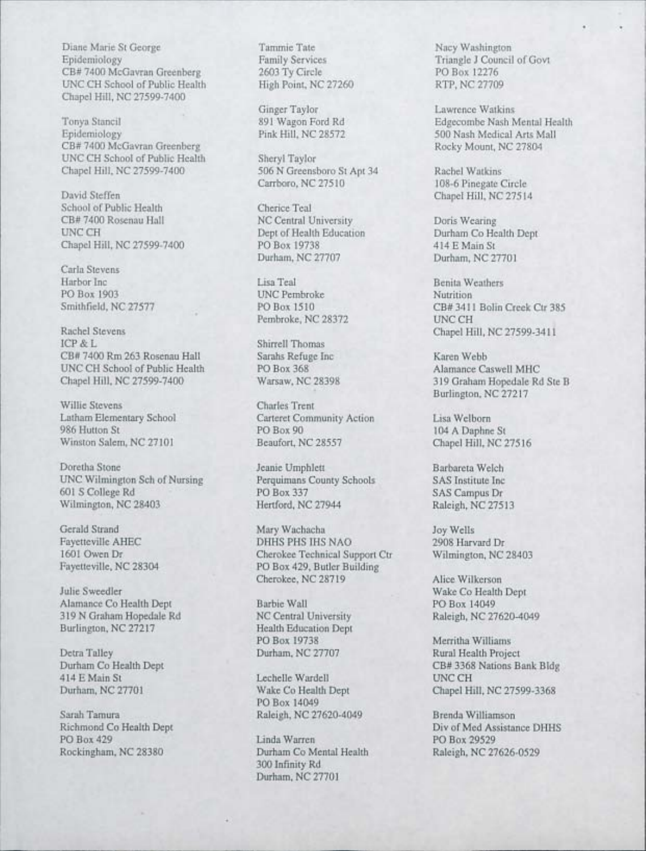Diane Marie St George Tammie Tate Nacy Washington<br>
Epidemiology Family Services Triangle J Council CB# 7400 McGavran Greenberg 2603 Ty Circle PO Box 12276<br>
UNC CH School of Public Health High Point, NC 27260 RTP, NC 27709 UNC CH School of Public Health Chapel Hill, NC 27599-7400

CB# 7400 McGavran Greenberg<br>UNC CH School of Public Health Sheryl Taylor UNC CH School of Public Health Sheryl Taylor<br>
Chapel Hill, NC 27599-7400 506 N Greensboro St Apt 34

David Steffen Chapel Hill, NC 27514<br>School of Public Health Cherice Teal Cherica Teal School of Public Health<br>CB# 7400 Rosenau Hall CB# 7400 Rosenau Hall NC Central University Doris Wearing<br>
Doris Wearing Dept of Health Education Durham Co Health Dept

Carla Stevens<br>Harbor Inc PO Box 1903 UNC Pembroke<br>Smithfield, NC 27577 PO Box 1510

Rachel Stevens Chapel Hill, NC 27599-3411<br>
Thomas Chapel Hill, NC 27599-3411 CB# 7400 Rm 263 Rosenau Hall Sarahs Refuge Inc Karen Webb Karen Webb INC CH School of Public Health PO Box 368 UNC CH School of Public Health PO Box 368<br>
Chapel Hill, NC 27599-7400 Warsaw, NC 28398

Willie Stevens Charles Trent Winston Salem, NC 27101

Doretha Stone Jeanie Umphlett Barbareta Welch UNC Wilmington Sch of Nursing Perquimans County Schools SAS Institute Inc<br>
PO Box 337 SAS Campus Dr Wilmington, NC 28403

Julie Sweedler Wake Co Health Dept Alamance Co Health Dept Barbie Wall PO Box 14049 319 N Graham Hopedale Rd NC Central University Raleigh, NC 27620-4049<br>Burlington, NC 27217 Health Education Dept

Detra Talley **Durham, NC 27707** Rural Health Project **Durham** Co Health Dept **Durham**, NC 27707 **Rural Health Project** 

Rockingham, NC 28380 Durham Co Mental Health Raleigh, NC 27626-0529

Ginger Taylor Lawrence Watkins<br>
891 Wagon Ford Rd
Beecombe Nash M

Chapel Hill, NC 27599-7400 506 N Greensboro St Apt 34 Rachel Watkins<br>Carrboro, NC 27510 108-6 Pinegate C

Dept of Health Education Durham Co He<br>PO Box 19738 414 E Main St Chapel Hill, NC 27599-7400 PO Box 19738 414 E Main St<br>Durham, NC 27707 Durham, NC 27701 Durham, NC 27707

Harbor Inc Lisa Teal Benita Weathers Pembroke, NC 28372

Shirrell Thomas

Latham Elementary School Carteret Community Action Lisa Welborn PO Box 90<br>Beaufort, NC 28557 Chapel Hill, NC 27516

PO Box 337 SAS Campus Dr<br>Hertford, NC 27944 Raleigh, NC 27513

Gerald Strand Mary Wachacha Joy Wells Fayetteville AHEC DHHS PHS IHS NAO 2908 Harvard Dr 1601 Owen Dr Cherokee Technical Support Ctr Wilmington, NC 28403<br>
Fayetteville, NC 28304 PO Box 429, Butler Building PO Box 429, Butler Building Cherokee, NC 28719 Alice Wilkerson

Health Education Dept<br>PO Box 19738

Lechelle Wardell UNC CH PO Box 14049 Sarah Tamura Raleigh, NC 27620-4049 Brenda Williamson

> PO Box 429 Linda Warren PO Box 29529 300 Infinity Rd Durham, NC 27701

Family Services Triangle J Council of Govt<br>
2603 Ty Circle<br>
PO Box 12276

Tonya Stancil 891 Wagon Ford Rd Bill Edgecombe Nash Mental Health<br>
891 Wagon Ford Rd Edgecombe Nash Mental Health<br>
500 Nash Medical Arts Mall 500 Nash Medical Arts Mall<br>Rocky Mount, NC 27804

108-6 Pinegate Circle

CB# 3411 Bolin Creek Ctr 385<br>UNC CH

319 Graham Hopedale Rd Ste B Burlington, NC 27217

Merritha Williams Durham Co Health Dept CB# 3368 Nations Bank Bldg<br>
414 E Main St CB# 3368 Nations Bank Bldg<br>
CB# 3368 Nations Bank Bldg Durham, NC 27701 Wake Co Health Dept Chapel Hill, NC 27599-3368

Richmond Co Health Dept Div of Med Assistance DHHS<br>
PO Box 429<br>
PO Box 29529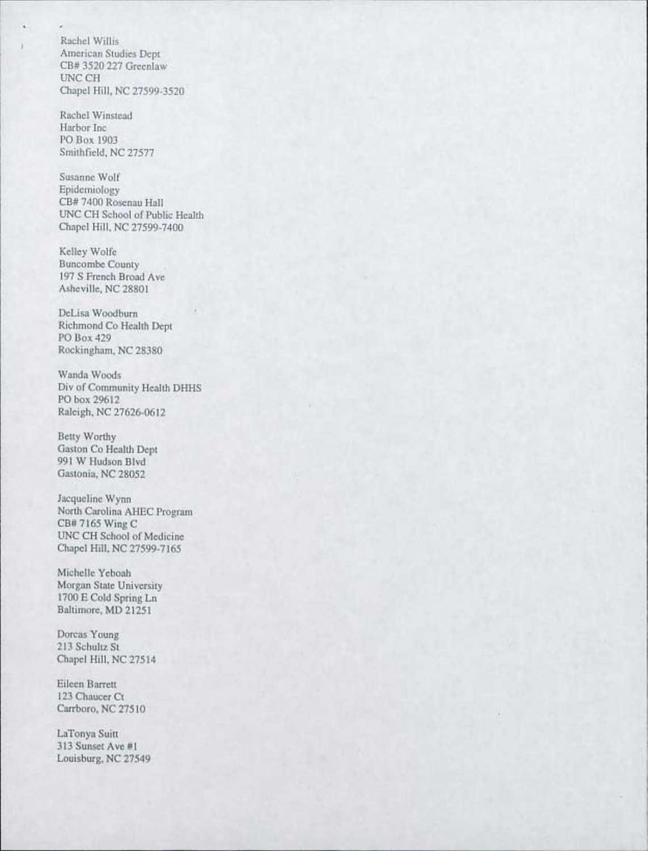Rachel Willis American Studies Dept CB# 3520 227 Greenlaw UNC CH Chapel Hill, NC 27599-3520

Rachel Winstead Harbor Inc PO Box 1903 Smithfield, NC 27577

Susanne Wolf Epidemiology CB# 7400 Rosenau Hall UNC CH School of Public Health Chapel Hill, NC 27599-7400

Kelley Wolfe Buncombe County 197 S French Broad Ave Asheville, NC 28801

DeLisa Woodburn Richmond Co Health Dept PO Box 429 Rockingham, NC 28380

Wanda Woods Div of Community Health DHHS PO box 29612 Raleigh, NC 27626-0612

Betty Worthy Gaston Co Health Dept 991 W Hudson Blvd Gastonia, NC 28052

Jacqueline Wynn North Carolina AHEC Program CB# 7165 Wing C UNC CH School of Medicine Chapel Hill, NC 27599-7165

Michelle Yeboah Morgan State University 1700 E Cold Spring Ln Baltimore, MD 21251

Dorcas Young 213 Schultz St Chapel Hill, NC 27514

Eileen Barrett 123 Chaucer Ct Carrboro, NC 27510

LaTonya Suitt 313 Sunset Ave #1 Louisburg, NC 27549